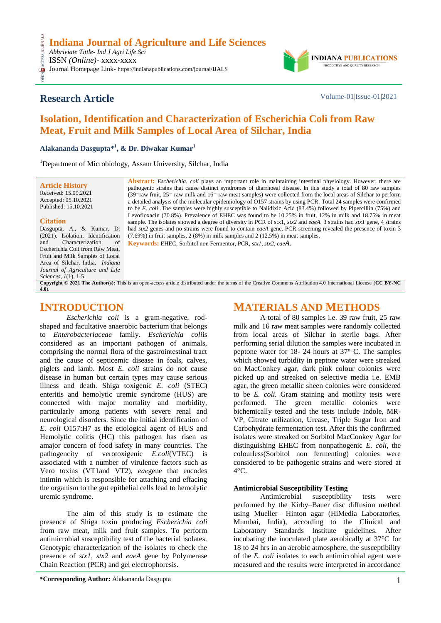## **Research Article** Volume-01|Issue-01|2021

**INDIANA** PRODUCTIVE AND QUALITY RESEARCH

# **Isolation, Identification and Characterization of Escherichia Coli from Raw Meat, Fruit and Milk Samples of Local Area of Silchar, India**

**Alakananda Dasgupta\* 1 , & Dr. Diwakar Kumar<sup>1</sup>**

<sup>1</sup>Department of Microbiology, Assam University, Silchar, India

**Article History** Received: 15.09.2021 Accepted: 05.10.2021 Published: 15.10.2021

#### **Citation**

CESS.

Dasgupta, A., & Kumar, D. (2021). Isolation, Identification and Characterization of Escherichia Coli from Raw Meat, Fruit and Milk Samples of Local Area of Silchar, India. *Indiana Journal of Agriculture and Life Sciences, 1*(1), 1-5.

**Abstract:** *Escherichia. coli* plays an important role in maintaining intestinal physiology. However, there are pathogenic strains that cause distinct syndromes of diarrhoeal disease. In this study a total of 80 raw samples (39=raw fruit, 25= raw milk and 16= raw meat samples) were collected from the local areas of Silchar to perform a detailed analysis of the molecular epidemiology of O157 strains by using PCR. Total 24 samples were confirmed to be *E. coli* .The samples were highly susceptible to Nalidixic Acid (83.4%) followed by Pipercillin (75%) and Levofloxacin (70.8%). Prevalence of EHEC was found to be 10.25% in fruit, 12% in milk and 18.75% in meat sample. The isolates showed a degree of diversity in PCR of stx1, *stx2* and *eaeA.* 3 strains had *stx1* gene, 4 strains had *stx2* genes and no strains were found to contain *eaeA* gene. PCR screening revealed the presence of toxin 3 (7.69%) in fruit samples, 2 (8%) in milk samples and 2 (12.5%) in meat samples.

**Keywords:** EHEC, Sorbitol non Fermentor, PCR, *stx1, stx2, eaeA*.

**Copyright © 2021 The Author(s):** This is an open-access article distributed under the terms of the Creative Commons Attribution 4.0 International License (**[CC BY-NC](https://creativecommons.org/licenses/by-nc/4.0/)  [4.0](https://creativecommons.org/licenses/by-nc/4.0/)**).

### **INTRODUCTION**

*Escherichia coli* is a gram-negative, rodshaped and facultative anaerobic bacterium that belongs to *Enterobacteriaceae* family*. Escherichia coli*is considered as an important pathogen of animals, comprising the normal flora of the gastrointestinal tract and the cause of septicemic disease in foals, calves, piglets and lamb. Most *E. coli* strains do not cause disease in human but certain types may cause serious illness and death. Shiga toxigenic *E. coli* (STEC) enteritis and hemolytic uremic syndrome (HUS) are connected with major mortality and morbidity, particularly among patients with severe renal and neurological disorders. Since the initial identification of *E. coli* O157:H7 as the etiological agent of HUS and Hemolytic colitis (HC) this pathogen has risen as amajor concern of food safety in many countries. The pathogencity of verotoxigenic *E.coli*(VTEC) is associated with a number of virulence factors such as Vero toxins (VT1and VT2), *eae*gene that encodes intimin which is responsible for attaching and effacing the organism to the gut epithelial cells lead to hemolytic uremic syndrome.

The aim of this study is to estimate the presence of Shiga toxin producing *Escherichia coli* from raw meat, milk and fruit samples. To perform antimicrobial susceptibility test of the bacterial isolates. Genotypic characterization of the isolates to check the presence of *stx1, stx2* and *eaeA* gene by Polymerase Chain Reaction (PCR) and gel electrophoresis.

Carbohydrate fermentation test. After this the confirmed isolates were streaked on Sorbitol MacConkey Agar for distinguishing EHEC from nonpathogenic *E. coli*, the colourless(Sorbitol non fermenting) colonies were considered to be pathogenic strains and were stored at  $4^{\circ}$ C.

**MATERIALS AND METHODS**

A total of 80 samples i.e. 39 raw fruit, 25 raw

milk and 16 raw meat samples were randomly collected from local areas of Silchar in sterile bags. After performing serial dilution the samples were incubated in peptone water for 18- 24 hours at 37° C. The samples which showed turbidity in peptone water were streaked on MacConkey agar, dark pink colour colonies were picked up and streaked on selective media i.e. EMB agar, the green metallic sheen colonies were considered to be *E. coli.* Gram staining and motility tests were performed. The green metallic colonies were bichemically tested and the tests include Indole, MR-VP, Citrate utilization, Urease, Triple Sugar Iron and

#### **Antimicrobial Susceptibility Testing**

Antimicrobial susceptibility tests were performed by the Kirby–Bauer disc diffusion method using Mueller– Hinton agar (HiMedia Laboratories, Mumbai, India), according to the Clinical and Laboratory Standards Institute guidelines. After incubating the inoculated plate aerobically at 37°C for 18 to 24 hrs in an aerobic atmosphere, the susceptibility of the *E. coli* isolates to each antimicrobial agent were measured and the results were interpreted in accordance

**\*Corresponding Author:** Alakananda Dasgupta 1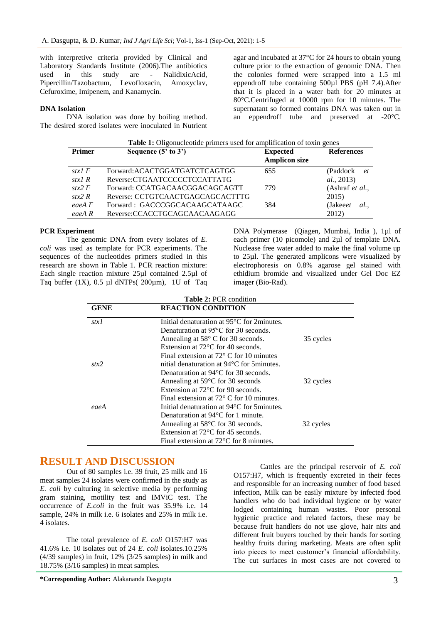with interpretive criteria provided by Clinical and Laboratory Standards Institute (2006).The antibiotics used in this study are - NalidixicAcid, Pipercillin/Tazobactum, Levofloxacin, Amoxyclav, Cefuroxime, Imipenem, and Kanamycin.

#### **DNA Isolation**

DNA isolation was done by boiling method. The desired stored isolates were inoculated in Nutrient

agar and incubated at 37°C for 24 hours to obtain young culture prior to the extraction of genomic DNA. Then the colonies formed were scrapped into a 1.5 ml eppendroff tube containing 500µl PBS (pH 7.4).After that it is placed in a water bath for 20 minutes at 80°C.Centrifuged at 10000 rpm for 10 minutes. The supernatant so formed contains DNA was taken out in an eppendroff tube and preserved at -20°C.

| Table 1: Oligonucleotide primers used for amplification of toxin genes |                                  |                      |                    |  |  |  |  |  |
|------------------------------------------------------------------------|----------------------------------|----------------------|--------------------|--|--|--|--|--|
| <b>Primer</b>                                                          | Sequence $(5' \text{ to } 3')$   | <b>Expected</b>      | <b>References</b>  |  |  |  |  |  |
|                                                                        |                                  | <b>Amplicon size</b> |                    |  |  |  |  |  |
| stx1 $F$                                                               | Forward: ACACTGGATGATCTCAGTGG    | 655                  | (Paddock et        |  |  |  |  |  |
| stx1 $R$                                                               | Reverse:CTGAATCCCCCTCCATTATG     |                      | <i>al.</i> , 2013) |  |  |  |  |  |
| stx2 $F$                                                               | Forward: CCATGACAACGGACAGCAGTT   | 779                  | (Ashraf et al.,    |  |  |  |  |  |
| stx2 $R$                                                               | Reverse: CCTGTCAACTGAGCAGCACTTTG |                      | 2015)              |  |  |  |  |  |
| eaeA F                                                                 | Forward: GACCCGGCACAAGCATAAGC    | 384                  | (Jakeeet)<br>al.   |  |  |  |  |  |
| eaeA R                                                                 | Reverse:CCACCTGCAGCAACAAGAGG     |                      | 2012)              |  |  |  |  |  |

#### **PCR Experiment**

The genomic DNA from every isolates of *E. coli* was used as template for PCR experiments. The sequences of the nucleotides primers studied in this research are shown in Table 1. PCR reaction mixture: Each single reaction mixture 25µl contained 2.5µl of Taq buffer  $(1X)$ ,  $0.5$  µl dNTPs $(200 \mu m)$ ,  $1U$  of Taq

DNA Polymerase (Qiagen, Mumbai, India ), 1µl of each primer (10 picomole) and 2µl of template DNA. Nuclease free water added to make the final volume up to 25µl. The generated amplicons were visualized by electrophoresis on 0.8% agarose gel stained with ethidium bromide and visualized under Gel Doc EZ imager (Bio-Rad).

| <b>Table 2: PCR condition</b> |                                                         |           |  |  |  |
|-------------------------------|---------------------------------------------------------|-----------|--|--|--|
| <b>GENE</b>                   | <b>REACTION CONDITION</b>                               |           |  |  |  |
| stx1                          | Initial denaturation at 95 <sup>o</sup> C for 2minutes. |           |  |  |  |
|                               | Denaturation at $95^{\circ}$ C for 30 seconds.          |           |  |  |  |
|                               | Annealing at $58^{\circ}$ C for 30 seconds.             | 35 cycles |  |  |  |
|                               | Extension at $72^{\circ}$ C for 40 seconds.             |           |  |  |  |
|                               | Final extension at $72^{\circ}$ C for 10 minutes        |           |  |  |  |
| stx2                          | nitial denaturation at $94^{\circ}$ C for 5 minutes.    |           |  |  |  |
|                               | Denaturation at $94^{\circ}$ C for 30 seconds.          |           |  |  |  |
|                               | Annealing at $59^{\circ}$ C for 30 seconds              | 32 cycles |  |  |  |
|                               | Extension at $72^{\circ}$ C for 90 seconds.             |           |  |  |  |
|                               | Final extension at $72^{\circ}$ C for 10 minutes.       |           |  |  |  |
| eaeA                          | Initial denaturation at $94^{\circ}$ C for 5 minutes.   |           |  |  |  |
|                               | Denaturation at $94^{\circ}$ C for 1 minute.            |           |  |  |  |
|                               | Annealing at $58^{\circ}$ C for 30 seconds.             | 32 cycles |  |  |  |
|                               | Extension at $72^{\circ}$ C for 45 seconds.             |           |  |  |  |
|                               | Final extension at $72^{\circ}$ C for 8 minutes.        |           |  |  |  |

### **RESULT AND DISCUSSION**

Out of 80 samples i.e. 39 fruit, 25 milk and 16 meat samples 24 isolates were confirmed in the study as *E. coli* by culturing in selective media by performing gram staining, motility test and IMViC test. The occurrence of *E.coli* in the fruit was 35.9% i.e. 14 sample, 24% in milk i.e. 6 isolates and 25% in milk i.e. 4 isolates.

The total prevalence of *E. coli* O157:H7 was 41.6% i.e. 10 isolates out of 24 *E. coli* isolates.10.25% (4/39 samples) in fruit, 12% (3/25 samples) in milk and 18.75% (3/16 samples) in meat samples.

Cattles are the principal reservoir of *E. coli*  O157:H7, which is frequently excreted in their feces and responsible for an increasing number of food based infection, Milk can be easily mixture by infected food handlers who do bad individual hygiene or by water lodged containing human wastes. Poor personal hygienic practice and related factors, these may be because fruit handlers do not use glove, hair nits and different fruit buyers touched by their hands for sorting healthy fruits during marketing. Meats are often split into pieces to meet customer's financial affordability. The cut surfaces in most cases are not covered to

**\*Corresponding Author:** Alakananda Dasgupta 3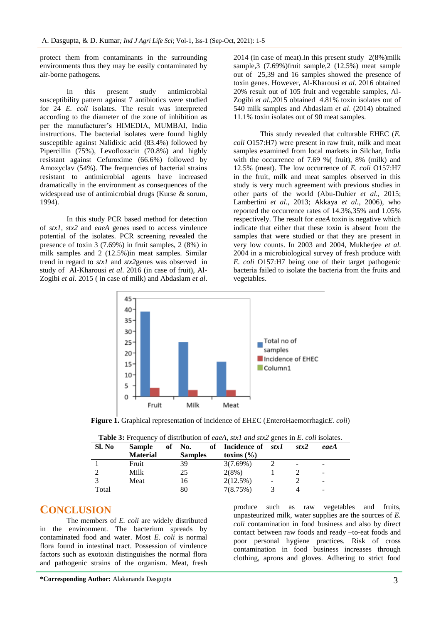protect them from contaminants in the surrounding environments thus they may be easily contaminated by air-borne pathogens.

In this present study antimicrobial susceptibility pattern against 7 antibiotics were studied for 24 *E. coli* isolates. The result was interpreted according to the diameter of the zone of inhibition as per the manufacturer's HIMEDIA, MUMBAI, India instructions. The bacterial isolates were found highly susceptible against Nalidixic acid (83.4%) followed by Pipercillin (75%), Levofloxacin (70.8%) and highly resistant against Cefuroxime (66.6%) followed by Amoxyclav (54%). The frequencies of bacterial strains resistant to antimicrobial agents have increased dramatically in the environment as consequences of the widespread use of antimicrobial drugs (Kurse & sorum, 1994).

In this study PCR based method for detection of *stx1, stx2* and *eaeA* genes used to access virulence potential of the isolates. PCR screening revealed the presence of toxin 3 (7.69%) in fruit samples, 2 (8%) in milk samples and 2 (12.5%)in meat samples. Similar trend in regard to *stx1* and *stx2*genes was observed in study of Al-Kharousi *et al*. 2016 (in case of fruit), Al-Zogibi *et al*. 2015 ( in case of milk) and Abdaslam *et al*. 2014 (in case of meat).In this present study 2(8%)milk sample,3 (7.69%)fruit sample,2 (12.5%) meat sample out of 25,39 and 16 samples showed the presence of toxin genes. However, Al-Kharousi *et al*. 2016 obtained 20% result out of 105 fruit and vegetable samples, Al-Zogibi *et al*.,2015 obtained 4.81% toxin isolates out of 540 milk samples and Abdaslam *et al*. (2014) obtained 11.1% toxin isolates out of 90 meat samples.

This study revealed that culturable EHEC (*E. coli* O157:H7) were present in raw fruit, milk and meat samples examined from local markets in Silchar, India with the occurrence of 7.69 %( fruit), 8% (milk) and 12.5% (meat). The low occurrence of *E. coli* O157:H7 in the fruit, milk and meat samples observed in this study is very much agreement with previous studies in other parts of the world (Abu-Duhier *et al.,* 2015; Lambertini *et al*., 2013; Akkaya *et al.*, 2006), who reported the occurrence rates of 14.3%,35% and 1.05% respectively. The result for *eaeA* toxin is negative which indicate that either that these toxin is absent from the samples that were studied or that they are present in very low counts. In 2003 and 2004, Mukherjee *et al*. 2004 in a microbiological survey of fresh produce with *E. coli* O157:H7 being one of their target pathogenic bacteria failed to isolate the bacteria from the fruits and vegetables.



**Figure 1.** Graphical representation of incidence of EHEC (EnteroHaemorrhagic*E. coli*)

|        |                 |                | <b>Table 3.</b> Prequency of distribution of <i>each</i> , <i>stall and stall</i> genes in <i>E. Con</i> isolates. |      |      |
|--------|-----------------|----------------|--------------------------------------------------------------------------------------------------------------------|------|------|
| Sl. No | <b>Sample</b>   | of No.         | of Incidence of stx1                                                                                               | stx2 | eaeA |
|        | <b>Material</b> | <b>Samples</b> | toxins $(\% )$                                                                                                     |      |      |
|        | Fruit           | 39             | $3(7.69\%)$                                                                                                        |      | -    |
|        | Milk            |                | 2(8%)                                                                                                              |      | -    |

3 Meat 16 2(12.5%) - 2 Total 80 7(8.75%) 3 4

**Table 3:** Frequency of distribution of *eaeA, stx1 and stx2* genes in *E. coli* isolates.

### **CONCLUSION**

The members of *E. coli* are widely distributed in the environment. The bacterium spreads by contaminated food and water. Most *E. coli* is normal flora found in intestinal tract. Possession of virulence factors such as exotoxin distinguishes the normal flora and pathogenic strains of the organism. Meat, fresh

produce such as raw vegetables and fruits, unpasteurized milk, water supplies are the sources of *E. coli* contamination in food business and also by direct contact between raw foods and ready –to-eat foods and poor personal hygiene practices. Risk of cross contamination in food business increases through clothing, aprons and gloves. Adhering to strict food

**\*Corresponding Author:** Alakananda Dasgupta 3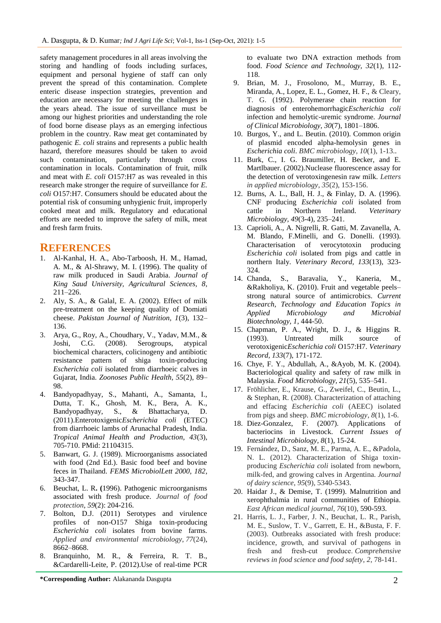safety management procedures in all areas involving the storing and handling of foods including surfaces, equipment and personal hygiene of staff can only prevent the spread of this contamination. Complete enteric disease inspection strategies, prevention and education are necessary for meeting the challenges in the years ahead. The issue of surveillance must be among our highest priorities and understanding the role of food borne disease plays as an emerging infectious problem in the country. Raw meat get contaminated by pathogenic *E. coli* strains and represents a public health hazard, therefore measures should be taken to avoid such contamination, particularly through cross contamination in locals. Contamination of fruit, milk and meat with *E. coli* O157:H7 as was revealed in this research make stronger the require of surveillance for *E. coli* O157:H7. Consumers should be educated about the potential risk of consuming unhygienic fruit, improperly cooked meat and milk. Regulatory and educational efforts are needed to improve the safety of milk, meat and fresh farm fruits.

### **REFERENCES**

- 1. Al-Kanhal, H. A., Abo-Tarboosh, H. M., Hamad, A. M., & Al-Shrawy, M. I. (1996). The quality of raw milk produced in Saudi Arabia. *Journal of King Saud University, Agricultural Sciences, 8*, 211–226.
- 2. Aly, S. A., & Galal, E. A. (2002). Effect of milk pre-treatment on the keeping quality of Domiati cheese. *Pakistan Journal of Nutrition, 1*(3), 132– 136.
- 3. Arya, G., Roy, A., Choudhary, V., Yadav, M.M., & Joshi, C.G. (2008). Serogroups, atypical biochemical characters, colicinogeny and antibiotic resistance pattern of shiga toxin-producing *Escherichia coli* isolated from diarrhoeic calves in Gujarat, India. *Zoonoses Public Health, 55*(2), 89– 98.
- 4. Bandyopadhyay, S., Mahanti, A., Samanta, I., Dutta, T. K., Ghosh, M. K., Bera, A. K., Bandyopadhyay, S., & Bhattacharya, D. (2011).Enterotoxigenic*Escherichia coli* (ETEC) from diarrhoeic lambs of Arunachal Pradesh, India. *Tropical Animal Health and Production, 43*(3), 705-710. PMid: 21104315.
- 5. Banwart, G. J. (1989). Microorganisms associated with food (2nd Ed.). Basic food beef and bovine feces in Thailand. *FEMS MicrobiolLett 2000, 182*, 343-347.
- 6. Beuchat, L. R**. (**1996). Pathogenic microorganisms associated with fresh produce. *Journal of food protection*, *59*(2): 204-216.
- 7. Bolton, D.J. (2011) Serotypes and virulence profiles of non-O157 Shiga toxin-producing *Escherichia coli* isolates from bovine farms. *Applied and environmental microbiology*, *77*(24), 8662–8668.
- 8. Branquinho, M. R., & Ferreira, R. T. B., &Cardarelli-Leite, P. (2012).Use of real-time PCR

to evaluate two DNA extraction methods from food. *Food Science and Technology, 32*(1), 112- 118.

- 9. Brian, M. J., Frosolono, M., Murray, B. E., Miranda, A., Lopez, E. L., Gomez, H. F., & Cleary, T. G. (1992). Polymerase chain reaction for diagnosis of enterohemorrhagic*Escherichia coli*  infection and hemolytic-uremic syndrome. *Journal of Clinical Microbiology, 30*(7), 1801–1806.
- 10. Burgos, Y., and L. Beutin. (2010). Common origin of plasmid encoded alpha-hemolysin genes in *Escherichia coli*. *BMC microbiology*, *10*(1), 1-13..
- 11. Burk, C., I. G. Braumiller, H. Becker, and E. Martlbauer. (2002).Nuclease fluorescence assay for the detection of verotoxingenesin raw milk. *Letters in applied microbiology*, *35*(2), 153-156.
- 12. Burns, A. L., Ball, H. J., & Finlay, D. A. (1996). CNF producing *Escherichia coli* isolated from cattle in Northern Ireland. *Veterinary Microbiology, 49*(3-4), 235–241.
- 13. Caprioli, A., A. Nigrelli, R. Gatti, M. Zavanella, A. M. Blando, F.Minelli, and G. Donelli. (1993). Characterisation of verocytotoxin producing *Escherichia coli* isolated from pigs and cattle in northern Italy. *Veterinary Record, 133*(13), 323- 324.
- 14. Chanda, S., Baravalia, Y., Kaneria, M., &Rakholiya, K. (2010). Fruit and vegetable peels– strong natural source of antimicrobics. *Current Research, Technology and Education Topics in Applied Microbiology and Microbial Biotechnology, 1*, 444-50.
- 15. Chapman, P. A., Wright, D. J., & Higgins R. (1993). Untreated milk source of verotoxigenic*Escherichia coli* O157:H7. *Veterinary Record, 133*(7), 171-172.
- 16. Chye, F. Y., Abdullah, A., &Ayob, M. K. (2004). Bacteriological quality and safety of raw milk in Malaysia. *Food Microbiology, 21*(5), 535–541.
- 17. Fröhlicher, E., Krause, G., Zweifel, C., Beutin, L., & Stephan, R. (2008). Characterization of attaching and effacing *Escherichia coli* (AEEC) isolated from pigs and sheep. *BMC microbiology*, *8*(1), 1-6.
- 18. Diez-Gonzalez, F. (2007). Applications of bacteriocins in Livestock. *Current Issues of Intestinal Microbiology, 8*(1), 15-24.
- 19. Fernández, D., Sanz, M. E., Parma, A. E., &Padola, N. L. (2012). Characterization of Shiga toxinproducing *Escherichia coli* isolated from newborn, milk-fed, and growing calves in Argentina. *Journal of dairy science*, *95*(9), 5340-5343.
- 20. Haidar J., & Demise, T. (1999). Malnutrition and xerophthalmia in rural communities of Ethiopia. *East African medical journal*, *76*(10), 590-593.
- 21. Harris, L. J., Farber, J. N., Beuchat, L. R., Parish, M. E., Suslow, T. V., Garrett, E. H., &Busta, F. F. (2003). Outbreaks associated with fresh produce: incidence, growth, and survival of pathogens in fresh and fresh-cut produce. Comprehensive *reviews in food science and food safety*, *2*, 78-141.